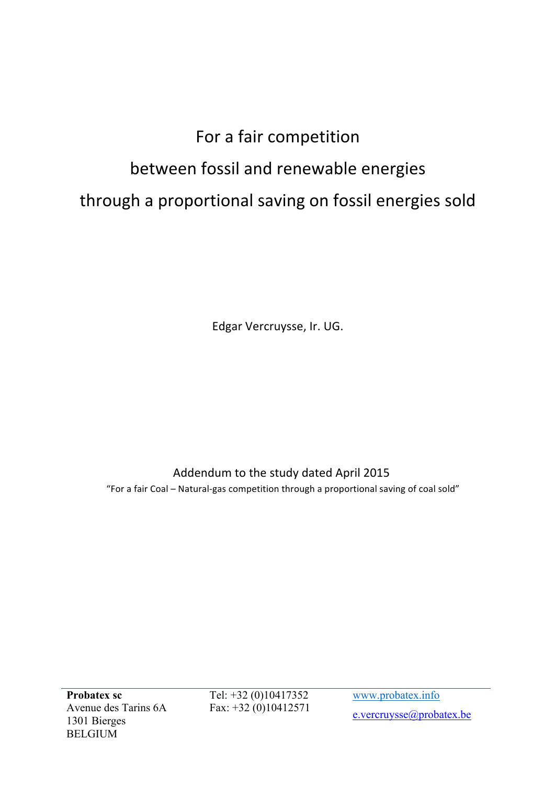## For a fair competition between fossil and renewable energies through a proportional saving on fossil energies sold

Edgar Vercruysse, Ir. UG.

## Addendum to the study dated April 2015

"For a fair Coal – Natural-gas competition through a proportional saving of coal sold"

**Probatex sc** Avenue des Tarins 6A 1301 Bierges BELGIUM

Tel: +32 (0)10417352 Fax: +32 (0)10412571 www.probatex.info e.vercruysse@probatex.be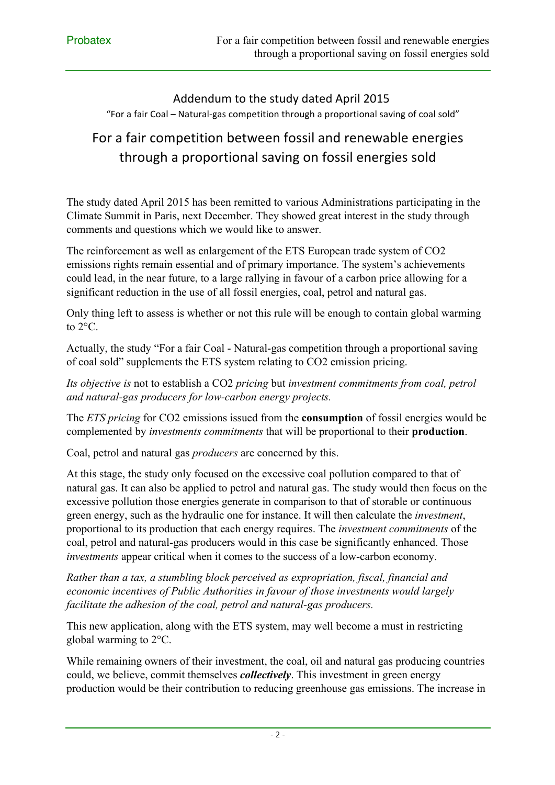## Addendum to the study dated April 2015 "For a fair Coal – Natural-gas competition through a proportional saving of coal sold"

## For a fair competition between fossil and renewable energies through a proportional saving on fossil energies sold

The study dated April 2015 has been remitted to various Administrations participating in the Climate Summit in Paris, next December. They showed great interest in the study through comments and questions which we would like to answer.

The reinforcement as well as enlargement of the ETS European trade system of CO2 emissions rights remain essential and of primary importance. The system's achievements could lead, in the near future, to a large rallying in favour of a carbon price allowing for a significant reduction in the use of all fossil energies, coal, petrol and natural gas.

Only thing left to assess is whether or not this rule will be enough to contain global warming to 2°C.

Actually, the study "For a fair Coal - Natural-gas competition through a proportional saving of coal sold" supplements the ETS system relating to CO2 emission pricing.

*Its objective is* not to establish a CO2 *pricing* but *investment commitments from coal, petrol and natural-gas producers for low-carbon energy projects.*

The *ETS pricing* for CO2 emissions issued from the **consumption** of fossil energies would be complemented by *investments commitments* that will be proportional to their **production**.

Coal, petrol and natural gas *producers* are concerned by this.

At this stage, the study only focused on the excessive coal pollution compared to that of natural gas. It can also be applied to petrol and natural gas. The study would then focus on the excessive pollution those energies generate in comparison to that of storable or continuous green energy, such as the hydraulic one for instance. It will then calculate the *investment*, proportional to its production that each energy requires. The *investment commitments* of the coal, petrol and natural-gas producers would in this case be significantly enhanced. Those *investments* appear critical when it comes to the success of a low-carbon economy.

*Rather than a tax, a stumbling block perceived as expropriation, fiscal, financial and economic incentives of Public Authorities in favour of those investments would largely facilitate the adhesion of the coal, petrol and natural-gas producers.*

This new application, along with the ETS system, may well become a must in restricting global warming to 2°C.

While remaining owners of their investment, the coal, oil and natural gas producing countries could, we believe, commit themselves *collectively*. This investment in green energy production would be their contribution to reducing greenhouse gas emissions. The increase in